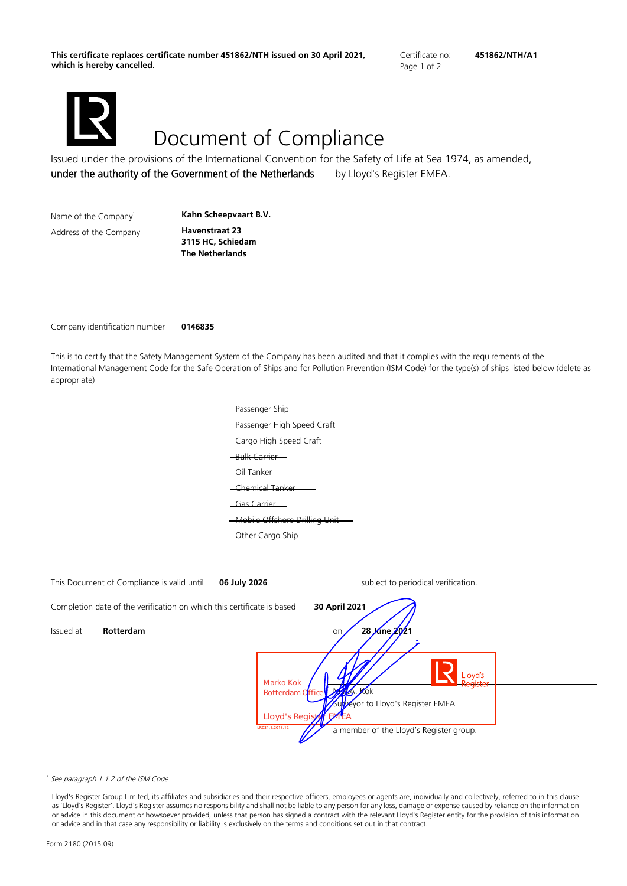**This certificate replaces certificate number 451862/NTH issued on 30 April 2021, which is hereby cancelled.** 

Page 1 of 2



Issued under the provisions of the International Convention for the Safety of Life at Sea 1974, as amended, under the authority of the Government of the Netherlands by Lloyd's Register EMEA.

Name of the Company<sup>1</sup> **Kahn Scheepvaart B.V.** Address of the Company **Havenstraat 23** 

**3115 HC, Schiedam The Netherlands** 

Company identification number **0146835** 

This is to certify that the Safety Management System of the Company has been audited and that it complies with the requirements of the International Management Code for the Safe Operation of Ships and for Pollution Prevention (ISM Code) for the type(s) of ships listed below (delete as appropriate)

| Passenger Ship                   |
|----------------------------------|
| - Passenger High Speed Craft     |
| -Cargo High Speed Craft          |
| - Bulk Carrier —                 |
| <del>- Oil Tanker -</del>        |
| Chemical Tanker                  |
| Gas Carrier                      |
| —Mobile Offshore Drilling Unit—— |
| Other Cargo Ship                 |
|                                  |

| This Document of Compliance is valid until                             | 06 July 2026                                                              | subject to periodical verification.                                                                                                                                         |
|------------------------------------------------------------------------|---------------------------------------------------------------------------|-----------------------------------------------------------------------------------------------------------------------------------------------------------------------------|
| Completion date of the verification on which this certificate is based |                                                                           | 30 April 2021                                                                                                                                                               |
| Issued at<br><b>Rotterdam</b>                                          | <b>Marko Kok</b><br>Rotterdam Offi<br>Lloyd's Register<br>LR031.1.2013.12 | 28 <i>J</i> une 2021<br>on<br>Lloyd's<br><b>Register</b><br><b>MA</b> . Kok<br>Suppleyor to Lloyd's Register EMEA<br><b>EMEA</b><br>a member of the Lloyd's Register group. |

<sup>1</sup> See paragraph 1.1.2 of the ISM Code

Lloyd's Register Group Limited, its affiliates and subsidiaries and their respective officers, employees or agents are, individually and collectively, referred to in this clause as 'Lloyd's Register'. Lloyd's Register assumes no responsibility and shall not be liable to any person for any loss, damage or expense caused by reliance on the information or advice in this document or howsoever provided, unless that person has signed a contract with the relevant Lloyd's Register entity for the provision of this information or advice and in that case any responsibility or liability is exclusively on the terms and conditions set out in that contract.